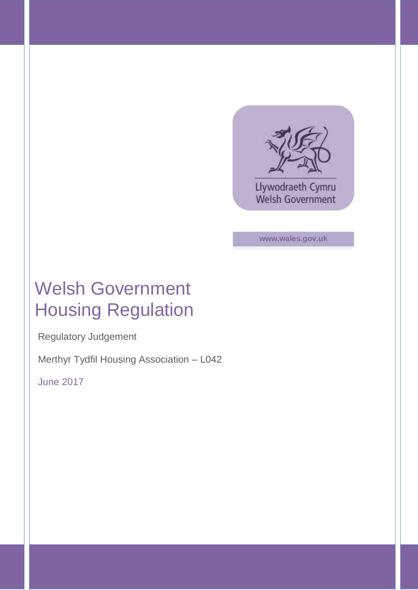

**www.wales.gov.uk**

# Welsh Government Housing Regulation

Regulatory Judgement

Merthyr Tydfil Housing Association – L042

June 2017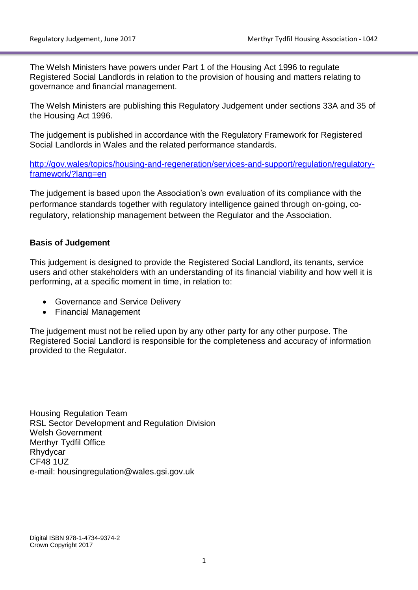The Welsh Ministers have powers under Part 1 of the Housing Act 1996 to regulate Registered Social Landlords in relation to the provision of housing and matters relating to governance and financial management.

The Welsh Ministers are publishing this Regulatory Judgement under sections 33A and 35 of the Housing Act 1996.

The judgement is published in accordance with the Regulatory Framework for Registered Social Landlords in Wales and the related performance standards.

[http://gov.wales/topics/housing-and-regeneration/services-and-support/regulation/regulatory](http://gov.wales/topics/housing-and-regeneration/services-and-support/regulation/regulatory-framework/?lang=en)[framework/?lang=en](http://gov.wales/topics/housing-and-regeneration/services-and-support/regulation/regulatory-framework/?lang=en)

The judgement is based upon the Association's own evaluation of its compliance with the performance standards together with regulatory intelligence gained through on-going, coregulatory, relationship management between the Regulator and the Association.

### **Basis of Judgement**

This judgement is designed to provide the Registered Social Landlord, its tenants, service users and other stakeholders with an understanding of its financial viability and how well it is performing, at a specific moment in time, in relation to:

- Governance and Service Delivery
- Financial Management

The judgement must not be relied upon by any other party for any other purpose. The Registered Social Landlord is responsible for the completeness and accuracy of information provided to the Regulator.

Housing Regulation Team RSL Sector Development and Regulation Division Welsh Government Merthyr Tydfil Office Rhydycar CF48 1UZ e-mail: housingregulation@wales.gsi.gov.uk

Digital ISBN 978-1-4734-9374-2 Crown Copyright 2017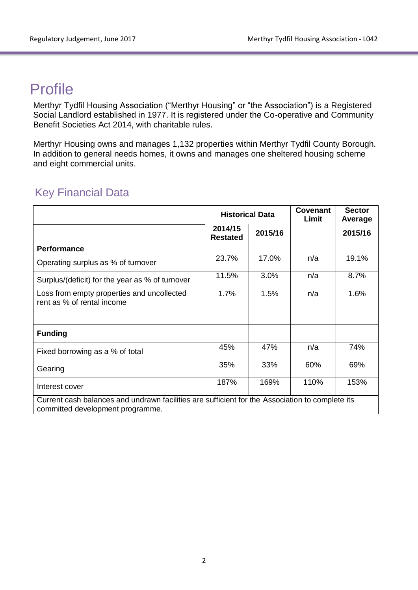## **Profile**

Merthyr Tydfil Housing Association ("Merthyr Housing" or "the Association") is a Registered Social Landlord established in 1977. It is registered under the Co-operative and Community Benefit Societies Act 2014, with charitable rules.

Merthyr Housing owns and manages 1,132 properties within Merthyr Tydfil County Borough. In addition to general needs homes, it owns and manages one sheltered housing scheme and eight commercial units.

### Key Financial Data

|                                                                                                                                     | <b>Historical Data</b>     |         | <b>Covenant</b><br>Limit | <b>Sector</b><br>Average |
|-------------------------------------------------------------------------------------------------------------------------------------|----------------------------|---------|--------------------------|--------------------------|
|                                                                                                                                     | 2014/15<br><b>Restated</b> | 2015/16 |                          | 2015/16                  |
| <b>Performance</b>                                                                                                                  |                            |         |                          |                          |
| Operating surplus as % of turnover                                                                                                  | 23.7%                      | 17.0%   | n/a                      | 19.1%                    |
| Surplus/(deficit) for the year as % of turnover                                                                                     | 11.5%                      | 3.0%    | n/a                      | 8.7%                     |
| Loss from empty properties and uncollected<br>rent as % of rental income                                                            | 1.7%                       | 1.5%    | n/a                      | 1.6%                     |
|                                                                                                                                     |                            |         |                          |                          |
| <b>Funding</b>                                                                                                                      |                            |         |                          |                          |
| Fixed borrowing as a % of total                                                                                                     | 45%                        | 47%     | n/a                      | 74%                      |
| Gearing                                                                                                                             | 35%                        | 33%     | 60%                      | 69%                      |
| Interest cover                                                                                                                      | 187%                       | 169%    | 110%                     | 153%                     |
| Current cash balances and undrawn facilities are sufficient for the Association to complete its<br>committed development programme. |                            |         |                          |                          |